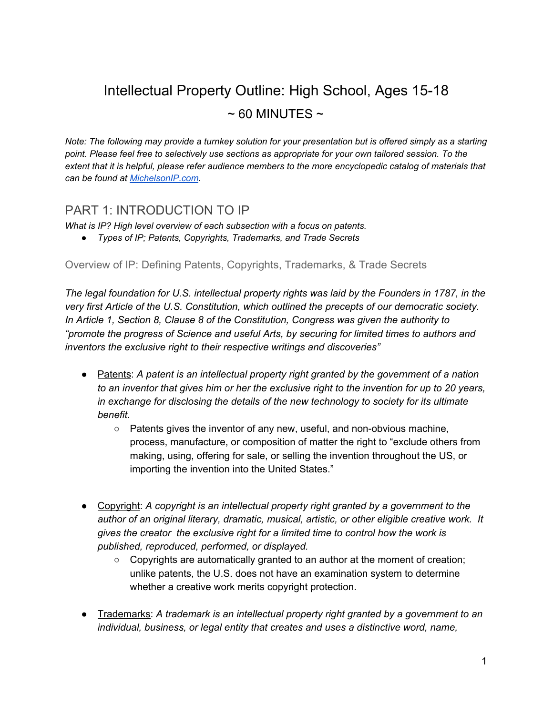# Intellectual Property Outline: High School, Ages 15-18  $\sim$  60 MINUTES  $\sim$

*Note: The following may provide a turnkey solution for your presentation but is offered simply as a starting point. Please feel free to selectively use sections as appropriate for your own tailored session. To the extent that it is helpful, please refer audience members to the more encyclopedic catalog of materials that can be found at [MichelsonIP.com.](http://michelsonip.com/intangible-advantage/)*

## PART 1: INTRODUCTION TO IP

*What is IP? High level overview of each subsection with a focus on patents.*

*● Types of IP; Patents, Copyrights, Trademarks, and Trade Secrets*

Overview of IP: Defining Patents, Copyrights, Trademarks, & Trade Secrets

*The legal foundation for U.S. intellectual property rights was laid by the Founders in 1787, in the very first Article of the U.S. Constitution, which outlined the precepts of our democratic society. In Article 1, Section 8, Clause 8 of the Constitution, Congress was given the authority to "promote the progress of Science and useful Arts, by securing for limited times to authors and inventors the exclusive right to their respective writings and discoveries"*

- Patents: *A patent is an intellectual property right granted by the government of a nation to an inventor that gives him or her the exclusive right to the invention for up to 20 years, in exchange for disclosing the details of the new technology to society for its ultimate benefit.*
	- *○* Patents gives the inventor of any new, useful, and non-obvious machine, process, manufacture, or composition of matter the right to "exclude others from making, using, offering for sale, or selling the invention throughout the US, or importing the invention into the United States."
- Copyright: *A copyright is an intellectual property right granted by a government to the author of an original literary, dramatic, musical, artistic, or other eligible creative work. It gives the creator the exclusive right for a limited time to control how the work is published, reproduced, performed, or displayed.*
	- *○* Copyrights are automatically granted to an author at the moment of creation; unlike patents, the U.S. does not have an examination system to determine whether a creative work merits copyright protection.
- Trademarks: *A trademark is an intellectual property right granted by a government to an individual, business, or legal entity that creates and uses a distinctive word, name,*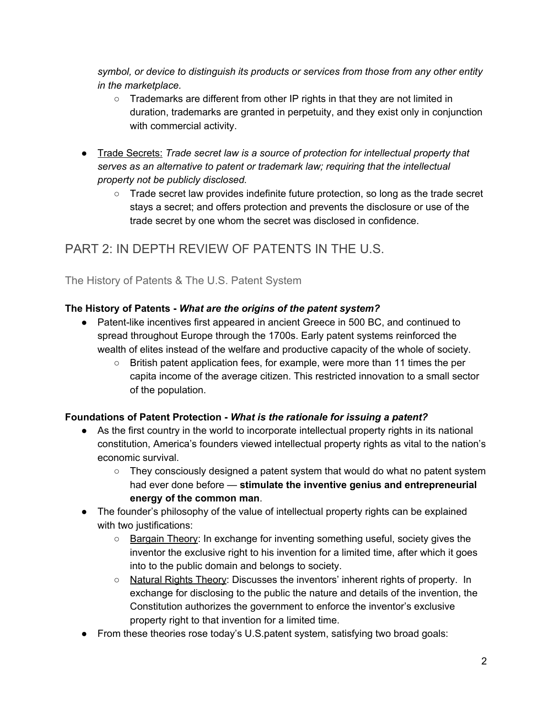*symbol, or device to distinguish its products or services from those from any other entity in the marketplace.*

- Trademarks are different from other IP rights in that they are not limited in duration, trademarks are granted in perpetuity, and they exist only in conjunction with commercial activity.
- Trade Secrets: *Trade secret law is a source of protection for intellectual property that serves as an alternative to patent or trademark law; requiring that the intellectual property not be publicly disclosed.*
	- Trade secret law provides indefinite future protection, so long as the trade secret stays a secret; and offers protection and prevents the disclosure or use of the trade secret by one whom the secret was disclosed in confidence.

## PART 2: IN DEPTH REVIEW OF PATENTS IN THE U.S.

The History of Patents & The U.S. Patent System

#### **The History of Patents -** *What are the origins of the patent system?*

- Patent-like incentives first appeared in ancient Greece in 500 BC, and continued to spread throughout Europe through the 1700s. Early patent systems reinforced the wealth of elites instead of the welfare and productive capacity of the whole of society.
	- British patent application fees, for example, were more than 11 times the per capita income of the average citizen. This restricted innovation to a small sector of the population.

#### **Foundations of Patent Protection -** *W hat is the rationale for issuing a patent?*

- **●** As the first country in the world to incorporate intellectual property rights in its national constitution, America's founders viewed intellectual property rights as vital to the nation's economic survival.
	- **○** They consciously designed a patent system that would do what no patent system had ever done before — **stimulate the inventive genius and entrepreneurial energy of the common man**.
- The founder's philosophy of the value of intellectual property rights can be explained with two justifications:
	- Bargain Theory: In exchange for inventing something useful, society gives the inventor the exclusive right to his invention for a limited time, after which it goes into to the public domain and belongs to society.
	- Natural Rights Theory: Discusses the inventors' inherent rights of property. In exchange for disclosing to the public the nature and details of the invention, the Constitution authorizes the government to enforce the inventor's exclusive property right to that invention for a limited time.
- From these theories rose today's U.S. patent system, satisfying two broad goals: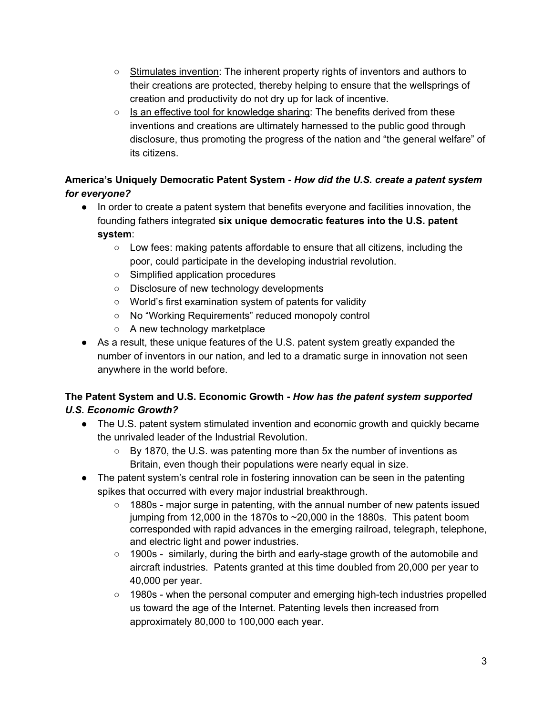- Stimulates invention: The inherent property rights of inventors and authors to their creations are protected, thereby helping to ensure that the wellsprings of creation and productivity do not dry up for lack of incentive.
- $\circ$  Is an effective tool for knowledge sharing: The benefits derived from these inventions and creations are ultimately harnessed to the public good through disclosure, thus promoting the progress of the nation and "the general welfare" of its citizens.

#### **America's Uniquely Democratic Patent System -** *H ow did the U.S. create a patent system for everyone?*

- In order to create a patent system that benefits everyone and facilities innovation, the founding fathers integrated **six unique democratic features into the U.S. patent system**:
	- Low fees: making patents affordable to ensure that all citizens, including the poor, could participate in the developing industrial revolution.
	- Simplified application procedures
	- Disclosure of new technology developments
	- World's first examination system of patents for validity
	- No "Working Requirements" reduced monopoly control
	- A new technology marketplace
- As a result, these unique features of the U.S. patent system greatly expanded the number of inventors in our nation, and led to a dramatic surge in innovation not seen anywhere in the world before.

#### **The Patent System and U.S. Economic Growth -** *How has the patent system supported U.S. Economic Growth?*

- The U.S. patent system stimulated invention and economic growth and quickly became the unrivaled leader of the Industrial Revolution.
	- By 1870, the U.S. was patenting more than 5x the number of inventions as Britain, even though their populations were nearly equal in size.
- The patent system's central role in fostering innovation can be seen in the patenting spikes that occurred with every major industrial breakthrough.
	- $\circ$  1880s major surge in patenting, with the annual number of new patents issued jumping from 12,000 in the 1870s to  $\sim$  20,000 in the 1880s. This patent boom corresponded with rapid advances in the emerging railroad, telegraph, telephone, and electric light and power industries.
	- 1900s similarly, during the birth and early-stage growth of the automobile and aircraft industries. Patents granted at this time doubled from 20,000 per year to 40,000 per year.
	- 1980s when the personal computer and emerging high-tech industries propelled us toward the age of the Internet. Patenting levels then increased from approximately 80,000 to 100,000 each year.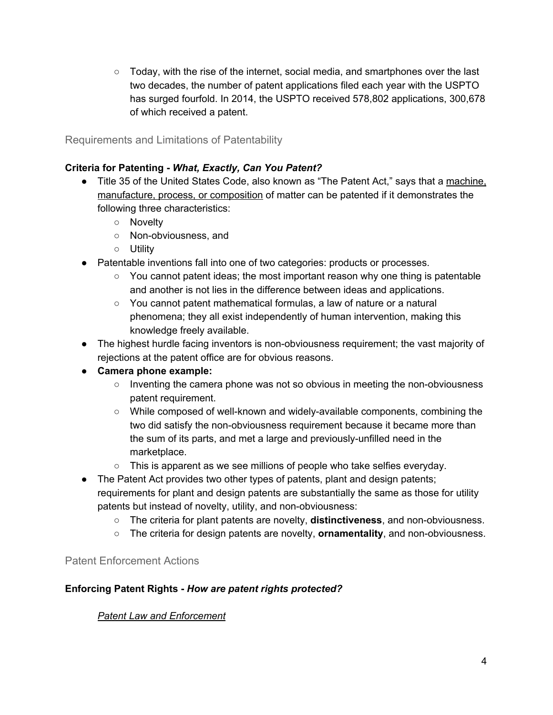○ Today, with the rise of the internet, social media, and smartphones over the last two decades, the number of patent applications filed each year with the USPTO has surged fourfold. In 2014, the USPTO received 578,802 applications, 300,678 of which received a patent.

Requirements and Limitations of Patentability

#### **Criteria for Patenting -** *What, Exactly, Can You Patent?*

- Title 35 of the United States Code, also known as "The Patent Act," says that a machine, manufacture, process, or composition of matter can be patented if it demonstrates the following three characteristics:
	- Novelty
	- Non-obviousness, and
	- Utility
- Patentable inventions fall into one of two categories: products or processes.
	- $\circ$  You cannot patent ideas; the most important reason why one thing is patentable and another is not lies in the difference between ideas and applications.
	- You cannot patent mathematical formulas, a law of nature or a natural phenomena; they all exist independently of human intervention, making this knowledge freely available.
- The highest hurdle facing inventors is non-obviousness requirement; the vast majority of rejections at the patent office are for obvious reasons.

#### **● Camera phone example:**

- Inventing the camera phone was not so obvious in meeting the non-obviousness patent requirement.
- While composed of well-known and widely-available components, combining the two did satisfy the non-obviousness requirement because it became more than the sum of its parts, and met a large and previously-unfilled need in the marketplace.
- This is apparent as we see millions of people who take selfies everyday.
- The Patent Act provides two other types of patents, plant and design patents; requirements for plant and design patents are substantially the same as those for utility patents but instead of novelty, utility, and non-obviousness:
	- The criteria for plant patents are novelty, **distinctiveness**, and non-obviousness.
	- The criteria for design patents are novelty, **ornamentality**, and non-obviousness.

#### Patent Enforcement Actions

#### **Enforcing Patent Rights -** *How are patent rights protected?*

#### *Patent Law and Enforcement*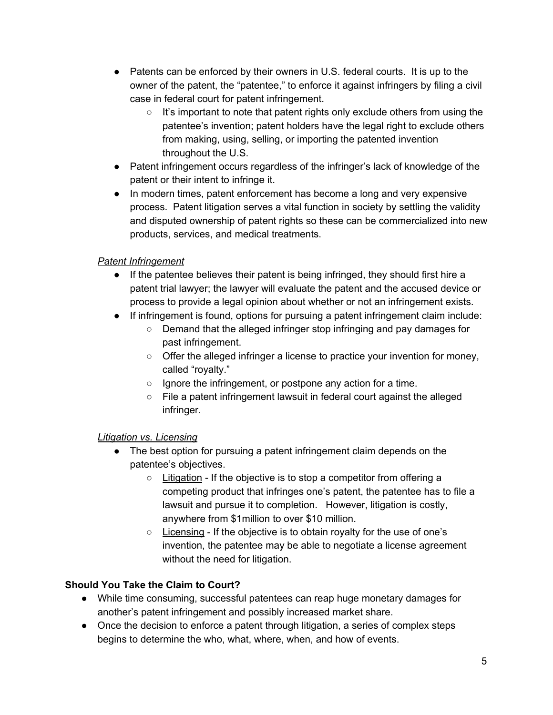- Patents can be enforced by their owners in U.S. federal courts. It is up to the owner of the patent, the "patentee," to enforce it against infringers by filing a civil case in federal court for patent infringement.
	- $\circ$  It's important to note that patent rights only exclude others from using the patentee's invention; patent holders have the legal right to exclude others from making, using, selling, or importing the patented invention throughout the U.S.
- Patent infringement occurs regardless of the infringer's lack of knowledge of the patent or their intent to infringe it.
- In modern times, patent enforcement has become a long and very expensive process. Patent litigation serves a vital function in society by settling the validity and disputed ownership of patent rights so these can be commercialized into new products, services, and medical treatments.

#### *Patent Infringement*

- If the patentee believes their patent is being infringed, they should first hire a patent trial lawyer; the lawyer will evaluate the patent and the accused device or process to provide a legal opinion about whether or not an infringement exists.
- If infringement is found, options for pursuing a patent infringement claim include:
	- Demand that the alleged infringer stop infringing and pay damages for past infringement.
	- Offer the alleged infringer a license to practice your invention for money, called "royalty."
	- Ignore the infringement, or postpone any action for a time.
	- File a patent infringement lawsuit in federal court against the alleged infringer.

#### *Litigation vs. Licensing*

- The best option for pursuing a patent infringement claim depends on the patentee's objectives.
	- Litigation If the objective is to stop a competitor from offering a competing product that infringes one's patent, the patentee has to file a lawsuit and pursue it to completion. However, litigation is costly, anywhere from \$1million to over \$10 million.
	- Licensing If the objective is to obtain royalty for the use of one's invention, the patentee may be able to negotiate a license agreement without the need for litigation.

#### **Should You Take the Claim to Court?**

- **●** While time consuming, successful patentees can reap huge monetary damages for another's patent infringement and possibly increased market share.
- **●** Once the decision to enforce a patent through litigation, a series of complex steps begins to determine the who, what, where, when, and how of events.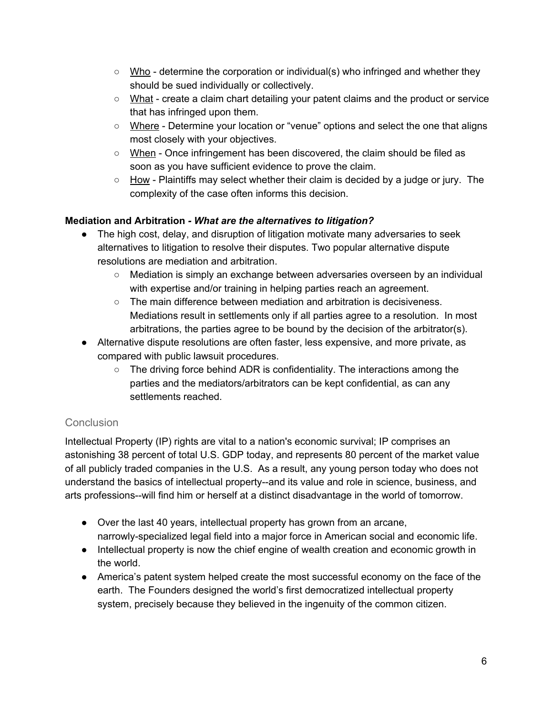- **○** Who determine the corporation or individual(s) who infringed and whether they should be sued individually or collectively.
- **○** What create a claim chart detailing your patent claims and the product or service that has infringed upon them.
- **○** Where Determine your location or "venue" options and select the one that aligns most closely with your objectives.
- **○** When Once infringement has been discovered, the claim should be filed as soon as you have sufficient evidence to prove the claim.
- **○** How Plaintiffs may select whether their claim is decided by a judge or jury. The complexity of the case often informs this decision.

#### **Mediation and Arbitration** *- What are the alternatives to litigation?*

- The high cost, delay, and disruption of litigation motivate many adversaries to seek alternatives to litigation to resolve their disputes. Two popular alternative dispute resolutions are mediation and arbitration.
	- Mediation is simply an exchange between adversaries overseen by an individual with expertise and/or training in helping parties reach an agreement.
	- $\circ$  The main difference between mediation and arbitration is decisiveness. Mediations result in settlements only if all parties agree to a resolution. In most arbitrations, the parties agree to be bound by the decision of the arbitrator(s).
- Alternative dispute resolutions are often faster, less expensive, and more private, as compared with public lawsuit procedures.
	- $\circ$  The driving force behind ADR is confidentiality. The interactions among the parties and the mediators/arbitrators can be kept confidential, as can any settlements reached.

#### **Conclusion**

Intellectual Property (IP) rights are vital to a nation's economic survival; IP comprises an astonishing 38 percent of total U.S. GDP today, and represents 80 percent of the market value of all publicly traded companies in the U.S. As a result, any young person today who does not understand the basics of intellectual property--and its value and role in science, business, and arts professions--will find him or herself at a distinct disadvantage in the world of tomorrow.

- Over the last 40 years, intellectual property has grown from an arcane, narrowly-specialized legal field into a major force in American social and economic life.
- Intellectual property is now the chief engine of wealth creation and economic growth in the world.
- America's patent system helped create the most successful economy on the face of the earth. The Founders designed the world's first democratized intellectual property system, precisely because they believed in the ingenuity of the common citizen.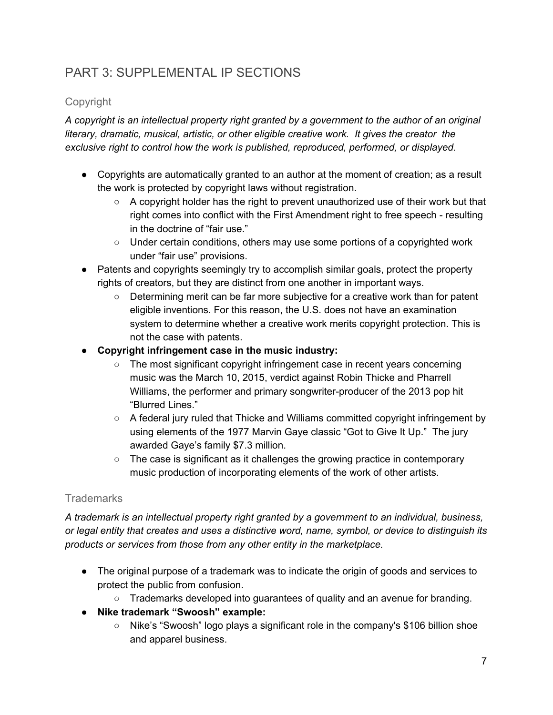## PART 3: SUPPLEMENTAL IP SECTIONS

#### Copyright

*A copyright is an intellectual property right granted by a government to the author of an original literary, dramatic, musical, artistic, or other eligible creative work. It gives the creator the exclusive right to control how the work is published, reproduced, performed, or displayed.*

- Copyrights are automatically granted to an author at the moment of creation; as a result the work is protected by copyright laws without registration.
	- $\circ$  A copyright holder has the right to prevent unauthorized use of their work but that right comes into conflict with the First Amendment right to free speech - resulting in the doctrine of "fair use."
	- Under certain conditions, others may use some portions of a copyrighted work under "fair use" provisions.
- Patents and copyrights seemingly try to accomplish similar goals, protect the property rights of creators, but they are distinct from one another in important ways.
	- Determining merit can be far more subjective for a creative work than for patent eligible inventions. For this reason, the U.S. does not have an examination system to determine whether a creative work merits copyright protection. This is not the case with patents.
- **● Copyright infringement case in the music industry:**
	- The most significant copyright infringement case in recent years concerning music was the March 10, 2015, verdict against Robin Thicke and Pharrell Williams, the performer and primary songwriter-producer of the 2013 pop hit "Blurred Lines."
	- $\circ$  A federal jury ruled that Thicke and Williams committed copyright infringement by using elements of the 1977 Marvin Gaye classic "Got to Give It Up." The jury awarded Gaye's family \$7.3 million.
	- $\circ$  The case is significant as it challenges the growing practice in contemporary music production of incorporating elements of the work of other artists.

### **Trademarks**

*A trademark is an intellectual property right granted by a government to an individual, business, or legal entity that creates and uses a distinctive word, name, symbol, or device to distinguish its products or services from those from any other entity in the marketplace.*

- The original purpose of a trademark was to indicate the origin of goods and services to protect the public from confusion.
	- $\circ$  Trademarks developed into quarantees of quality and an avenue for branding.
- **● Nike trademark "Swoosh" example:**
	- Nike's "Swoosh" logo plays a significant role in the company's \$106 billion shoe and apparel business.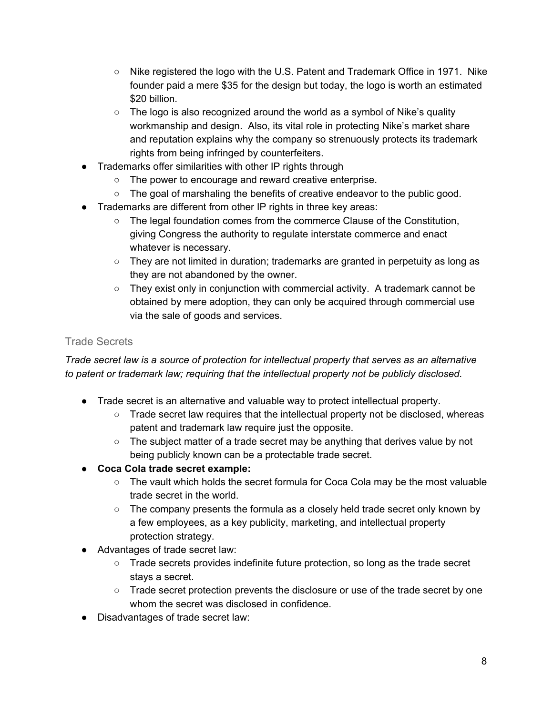- Nike registered the logo with the U.S. Patent and Trademark Office in 1971. Nike founder paid a mere \$35 for the design but today, the logo is worth an estimated \$20 billion.
- $\circ$  The logo is also recognized around the world as a symbol of Nike's quality workmanship and design. Also, its vital role in protecting Nike's market share and reputation explains why the company so strenuously protects its trademark rights from being infringed by counterfeiters.
- Trademarks offer similarities with other IP rights through
	- The power to encourage and reward creative enterprise.
	- The goal of marshaling the benefits of creative endeavor to the public good.
- Trademarks are different from other IP rights in three key areas:
	- The legal foundation comes from the commerce Clause of the Constitution, giving Congress the authority to regulate interstate commerce and enact whatever is necessary.
	- They are not limited in duration; trademarks are granted in perpetuity as long as they are not abandoned by the owner.
	- $\circ$  They exist only in conjunction with commercial activity. A trademark cannot be obtained by mere adoption, they can only be acquired through commercial use via the sale of goods and services.

#### Trade Secrets

*Trade secret law is a source of protection for intellectual property that serves as an alternative to patent or trademark law; requiring that the intellectual property not be publicly disclosed.*

- Trade secret is an alternative and valuable way to protect intellectual property.
	- $\circ$  Trade secret law requires that the intellectual property not be disclosed, whereas patent and trademark law require just the opposite.
	- The subject matter of a trade secret may be anything that derives value by not being publicly known can be a protectable trade secret.
- **● Coca Cola trade secret example:**
	- $\circ$  The vault which holds the secret formula for Coca Cola may be the most valuable trade secret in the world.
	- $\circ$  The company presents the formula as a closely held trade secret only known by a few employees, as a key publicity, marketing, and intellectual property protection strategy.
- Advantages of trade secret law:
	- Trade secrets provides indefinite future protection, so long as the trade secret stays a secret.
	- Trade secret protection prevents the disclosure or use of the trade secret by one whom the secret was disclosed in confidence.
- Disadvantages of trade secret law: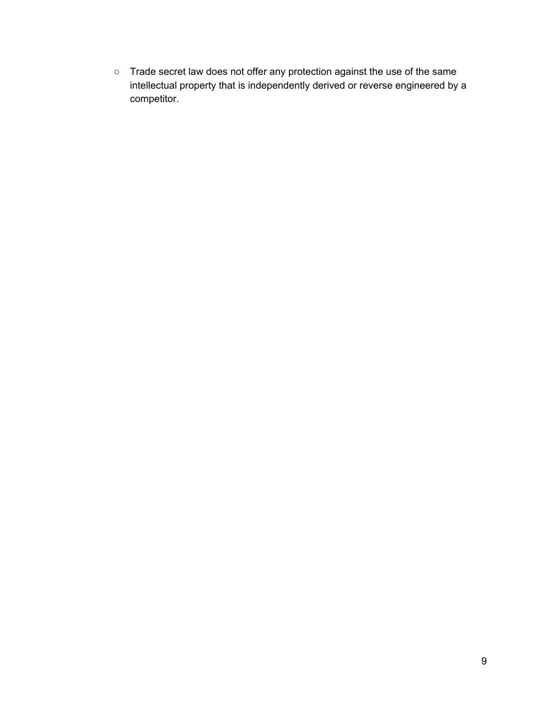○ Trade secret law does not offer any protection against the use of the same intellectual property that is independently derived or reverse engineered by a competitor.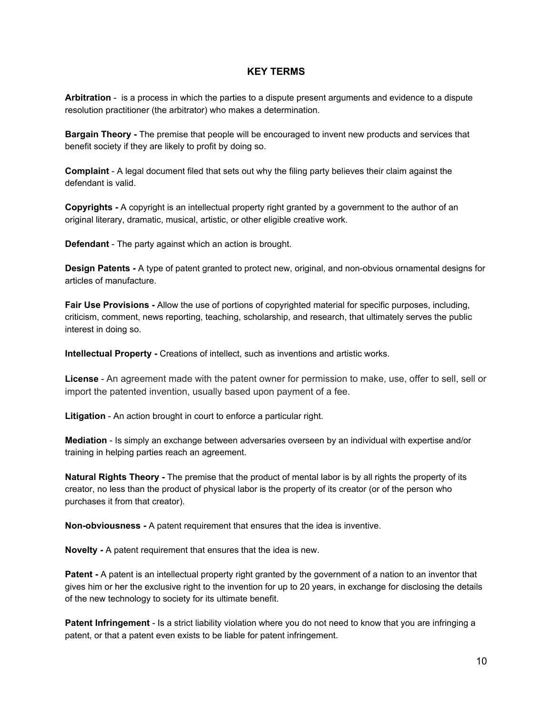#### **KEY TERMS**

**Arbitration** - is a process in which the parties to a dispute present arguments and evidence to a dispute resolution practitioner (the arbitrator) who makes a determination.

**Bargain Theory -** The premise that people will be encouraged to invent new products and services that benefit society if they are likely to profit by doing so.

**Complaint** - A legal document filed that sets out why the filing party believes their claim against the defendant is valid.

**Copyrights -** A copyright is an intellectual property right granted by a government to the author of an original literary, dramatic, musical, artistic, or other eligible creative work.

**Defendant** - The party against which an action is brought.

**Design Patents -** A type of patent granted to protect new, original, and non-obvious ornamental designs for articles of manufacture.

**Fair Use Provisions -** Allow the use of portions of copyrighted material for specific purposes, including, criticism, comment, news reporting, teaching, scholarship, and research, that ultimately serves the public interest in doing so.

**Intellectual Property -** Creations of intellect, such as inventions and artistic works.

**License** - An agreement made with the patent owner for permission to make, use, offer to sell, sell or import the patented invention, usually based upon payment of a fee.

**Litigation** - An action brought in court to enforce a particular right.

**Mediation** - Is simply an exchange between adversaries overseen by an individual with expertise and/or training in helping parties reach an agreement.

**Natural Rights Theory -** The premise that the product of mental labor is by all rights the property of its creator, no less than the product of physical labor is the property of its creator (or of the person who purchases it from that creator).

**Non-obviousness -** A patent requirement that ensures that the idea is inventive.

**Novelty -** A patent requirement that ensures that the idea is new.

**Patent -** A patent is an intellectual property right granted by the government of a nation to an inventor that gives him or her the exclusive right to the invention for up to 20 years, in exchange for disclosing the details of the new technology to society for its ultimate benefit.

**Patent Infringement** - Is a strict liability violation where you do not need to know that you are infringing a patent, or that a patent even exists to be liable for patent infringement.